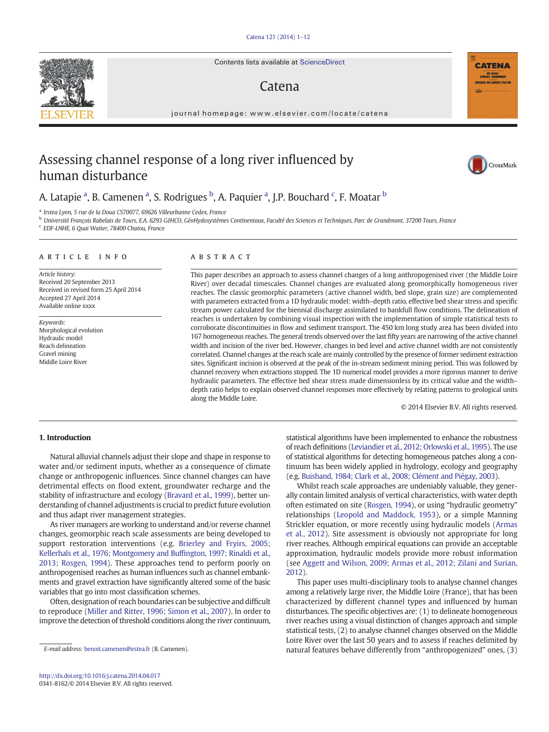#### [Catena 121 \(2014\) 1](http://dx.doi.org/10.1016/j.catena.2014.04.017)–12

Contents lists available at ScienceDirect

# Catena

journal homepage: www.elsevier.com/locate/catena

# Assessing channel response of a long river influenced by human disturbance

# A. Latapie <sup>a</sup>, B. Camenen <sup>a</sup>, S. Rodrigues <sup>b</sup>, A. Paquier <sup>a</sup>, J.P. Bouchard <sup>c</sup>, F. Moatar <sup>b</sup>

<sup>a</sup> Irstea Lyon, 5 rue de la Doua CS70077, 69626 Villeurbanne Cedex, France

<sup>b</sup> Université François Rabelais de Tours, E.A. 6293 GéHCO, GéoHydosystèmes Continentaux, Faculté des Sciences et Techniques, Parc de Grandmont, 37200 Tours, France

<sup>c</sup> EDF-LNHE, 6 Quai Watier, 78400 Chatou, France

#### article info abstract

Article history: Received 20 September 2013 Received in revised form 25 April 2014 Accepted 27 April 2014 Available online xxxx

Keywords: Morphological evolution Hydraulic model Reach delineation Gravel mining Middle Loire River

This paper describes an approach to assess channel changes of a long anthropogenised river (the Middle Loire River) over decadal timescales. Channel changes are evaluated along geomorphically homogeneous river reaches. The classic geomorphic parameters (active channel width, bed slope, grain size) are complemented with parameters extracted from a 1D hydraulic model: width–depth ratio, effective bed shear stress and specific stream power calculated for the biennial discharge assimilated to bankfull flow conditions. The delineation of reaches is undertaken by combining visual inspection with the implementation of simple statistical tests to corroborate discontinuities in flow and sediment transport. The 450 km long study area has been divided into 167 homogeneous reaches. The general trends observed over the last fifty years are narrowing of the active channel width and incision of the river bed. However, changes in bed level and active channel width are not consistently correlated. Channel changes at the reach scale are mainly controlled by the presence of former sediment extraction sites. Significant incision is observed at the peak of the in-stream sediment mining period. This was followed by channel recovery when extractions stopped. The 1D numerical model provides a more rigorous manner to derive hydraulic parameters. The effective bed shear stress made dimensionless by its critical value and the width– depth ratio helps to explain observed channel responses more effectively by relating patterns to geological units along the Middle Loire.

© 2014 Elsevier B.V. All rights reserved.

# 1. Introduction

Natural alluvial channels adjust their slope and shape in response to water and/or sediment inputs, whether as a consequence of climate change or anthropogenic influences. Since channel changes can have detrimental effects on flood extent, groundwater recharge and the stability of infrastructure and ecology [\(Bravard et al., 1999](#page-10-0)), better understanding of channel adjustments is crucial to predict future evolution and thus adapt river management strategies.

As river managers are working to understand and/or reverse channel changes, geomorphic reach scale assessments are being developed to support restoration interventions (e.g. [Brierley and Fryirs, 2005;](#page-10-0) Kellerhals et al., 1976; Montgomery and Buffi[ngton, 1997; Rinaldi et al.,](#page-10-0) [2013; Rosgen, 1994](#page-10-0)). These approaches tend to perform poorly on anthropogenised reaches as human influences such as channel embankments and gravel extraction have significantly altered some of the basic variables that go into most classification schemes.

Often, designation of reach boundaries can be subjective and difficult to reproduce [\(Miller and Ritter, 1996; Simon et al., 2007](#page-11-0)). In order to improve the detection of threshold conditions along the river continuum,

statistical algorithms have been implemented to enhance the robustness of reach definitions [\(Leviandier et al., 2012; Orlowski et al., 1995\)](#page-11-0). The use of statistical algorithms for detecting homogeneous patches along a continuum has been widely applied in hydrology, ecology and geography (e.g. [Buishand, 1984; Clark et al., 2008; Clément and Piégay, 2003](#page-10-0)).

Whilst reach scale approaches are undeniably valuable, they generally contain limited analysis of vertical characteristics, with water depth often estimated on site [\(Rosgen, 1994](#page-11-0)), or using "hydraulic geometry" relationships [\(Leopold and Maddock, 1953\)](#page-11-0), or a simple Manning Strickler equation, or more recently using hydraulic models [\(Armas](#page-10-0) [et al., 2012\)](#page-10-0). Site assessment is obviously not appropriate for long river reaches. Although empirical equations can provide an acceptable approximation, hydraulic models provide more robust information (see [Aggett and Wilson, 2009; Armas et al., 2012; Zilani and Surian,](#page-10-0) [2012](#page-10-0)).

This paper uses multi-disciplinary tools to analyse channel changes among a relatively large river, the Middle Loire (France), that has been characterized by different channel types and influenced by human disturbances. The specific objectives are: (1) to delineate homogeneous river reaches using a visual distinction of changes approach and simple statistical tests, (2) to analyse channel changes observed on the Middle Loire River over the last 50 years and to assess if reaches delimited by natural features behave differently from "anthropogenized" ones, (3)







E-mail address: [benoit.camenen@irstea.fr](mailto:benoit.camenen@irstea.fr) (B. Camenen).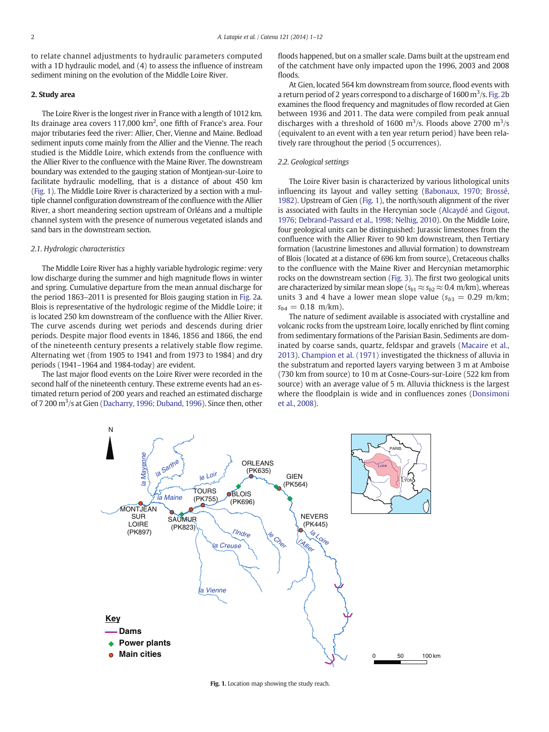<span id="page-1-0"></span>to relate channel adjustments to hydraulic parameters computed with a 1D hydraulic model, and (4) to assess the influence of instream sediment mining on the evolution of the Middle Loire River.

### 2. Study area

The Loire River is the longest river in France with a length of 1012 km. Its drainage area covers 117,000 km<sup>2</sup>, one fifth of France's area. Four major tributaries feed the river: Allier, Cher, Vienne and Maine. Bedload sediment inputs come mainly from the Allier and the Vienne. The reach studied is the Middle Loire, which extends from the confluence with the Allier River to the confluence with the Maine River. The downstream boundary was extended to the gauging station of Montjean-sur-Loire to facilitate hydraulic modelling, that is a distance of about 450 km (Fig. 1). The Middle Loire River is characterized by a section with a multiple channel configuration downstream of the confluence with the Allier River, a short meandering section upstream of Orléans and a multiple channel system with the presence of numerous vegetated islands and sand bars in the downstream section.

### 2.1. Hydrologic characteristics

The Middle Loire River has a highly variable hydrologic regime: very low discharge during the summer and high magnitude flows in winter and spring. Cumulative departure from the mean annual discharge for the period 1863–2011 is presented for Blois gauging station in [Fig. 2a](#page-2-0). Blois is representative of the hydrologic regime of the Middle Loire; it is located 250 km downstream of the confluence with the Allier River. The curve ascends during wet periods and descends during drier periods. Despite major flood events in 1846, 1856 and 1866, the end of the nineteenth century presents a relatively stable flow regime. Alternating wet (from 1905 to 1941 and from 1973 to 1984) and dry periods (1941–1964 and 1984-today) are evident.

The last major flood events on the Loire River were recorded in the second half of the nineteenth century. These extreme events had an estimated return period of 200 years and reached an estimated discharge of 7 200 m<sup>3</sup>/s at Gien [\(Dacharry, 1996; Duband, 1996\)](#page-11-0). Since then, other

floods happened, but on a smaller scale. Dams built at the upstream end of the catchment have only impacted upon the 1996, 2003 and 2008 floods.

At Gien, located 564 km downstream from source, flood events with a return period of 2 years correspond to a discharge of  $1600 \,\mathrm{m}^3/\mathrm{s}$ . [Fig. 2](#page-2-0)b examines the flood frequency and magnitudes of flow recorded at Gien between 1936 and 2011. The data were compiled from peak annual discharges with a threshold of 1600  $\mathrm{m}^3$ /s. Floods above 2700  $\mathrm{m}^3$ /s (equivalent to an event with a ten year return period) have been relatively rare throughout the period (5 occurrences).

#### 2.2. Geological settings

The Loire River basin is characterized by various lithological units influencing its layout and valley setting [\(Babonaux, 1970; Brossé,](#page-10-0) [1982](#page-10-0)). Upstream of Gien (Fig. 1), the north/south alignment of the river is associated with faults in the Hercynian socle ([Alcaydé and Gigout,](#page-10-0) 1976; Debrand-Passard [et al., 1998; Nelhig, 2010](#page-10-0)). On the Middle Loire, four geological units can be distinguished: Jurassic limestones from the confluence with the Allier River to 90 km downstream, then Tertiary formation (lacustrine limestones and alluvial formation) to downstream of Blois (located at a distance of 696 km from source), Cretaceous chalks to the confluence with the Maine River and Hercynian metamorphic rocks on the downstream section ([Fig. 3](#page-2-0)). The first two geological units are characterized by similar mean slope ( $s_{b1} \approx s_{b2} \approx 0.4$  m/km), whereas units 3 and 4 have a lower mean slope value ( $s_{b3} = 0.29$  m/km;  $s_{b4} = 0.18$  m/km).

The nature of sediment available is associated with crystalline and volcanic rocks from the upstream Loire, locally enriched by flint coming from sedimentary formations of the Parisian Basin. Sediments are dominated by coarse sands, quartz, feldspar and gravels ([Macaire et al.,](#page-11-0) [2013\)](#page-11-0). [Champion et al. \(1971\)](#page-11-0) investigated the thickness of alluvia in the substratum and reported layers varying between 3 m at Amboise (730 km from source) to 10 m at Cosne-Cours-sur-Loire (522 km from source) with an average value of 5 m. Alluvia thickness is the largest where the floodplain is wide and in confluences zones ([Donsimoni](#page-11-0) [et al., 2008](#page-11-0)).



Fig. 1. Location map showing the study reach.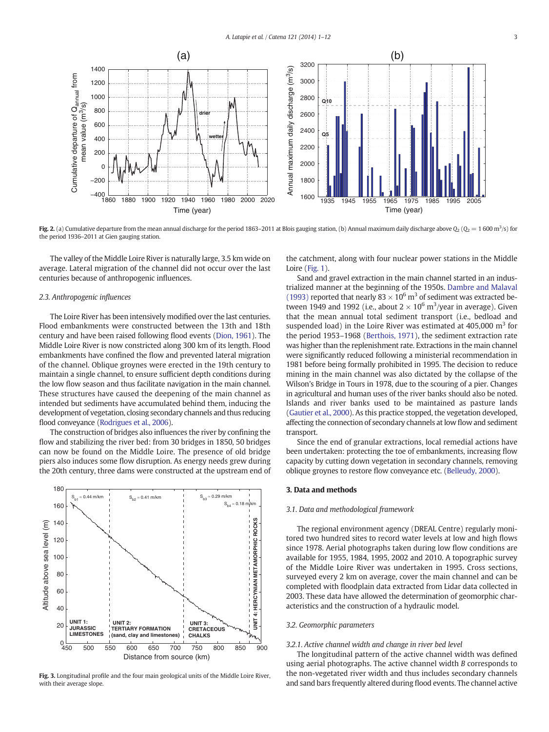<span id="page-2-0"></span>

Fig. 2. (a) Cumulative departure from the mean annual discharge for the period 1863–2011 at Blois gauging station, (b) Annual maximum daily discharge above  $Q_2$  ( $Q_2$  = 1 600 m<sup>3</sup>/s) for the period 1936–2011 at Gien gauging station.

The valley of the Middle Loire River is naturally large, 3.5 km wide on average. Lateral migration of the channel did not occur over the last centuries because of anthropogenic influences.

#### 2.3. Anthropogenic influences

The Loire River has been intensively modified over the last centuries. Flood embankments were constructed between the 13th and 18th century and have been raised following flood events [\(Dion, 1961](#page-11-0)). The Middle Loire River is now constricted along 300 km of its length. Flood embankments have confined the flow and prevented lateral migration of the channel. Oblique groynes were erected in the 19th century to maintain a single channel, to ensure sufficient depth conditions during the low flow season and thus facilitate navigation in the main channel. These structures have caused the deepening of the main channel as intended but sediments have accumulated behind them, inducing the development of vegetation, closing secondary channels and thus reducing flood conveyance [\(Rodrigues et al., 2006\)](#page-11-0).

The construction of bridges also influences the river by confining the flow and stabilizing the river bed: from 30 bridges in 1850, 50 bridges can now be found on the Middle Loire. The presence of old bridge piers also induces some flow disruption. As energy needs grew during the 20th century, three dams were constructed at the upstream end of



Fig. 3. Longitudinal profile and the four main geological units of the Middle Loire River, with their average slope.

the catchment, along with four nuclear power stations in the Middle Loire ([Fig. 1](#page-1-0)).

Sand and gravel extraction in the main channel started in an industrialized manner at the beginning of the 1950s. [Dambre and Malaval](#page-11-0) [\(1993\)](#page-11-0) reported that nearly  $83 \times 10^6$  m<sup>3</sup> of sediment was extracted between 1949 and 1992 (i.e., about  $2 \times 10^6$  m<sup>3</sup>/year in average). Given that the mean annual total sediment transport (i.e., bedload and suspended load) in the Loire River was estimated at  $405,000 \text{ m}^3$  for the period 1953–1968 ([Berthois, 1971\)](#page-10-0), the sediment extraction rate was higher than the replenishment rate. Extractions in the main channel were significantly reduced following a ministerial recommendation in 1981 before being formally prohibited in 1995. The decision to reduce mining in the main channel was also dictated by the collapse of the Wilson's Bridge in Tours in 1978, due to the scouring of a pier. Changes in agricultural and human uses of the river banks should also be noted. Islands and river banks used to be maintained as pasture lands [\(Gautier et al., 2000\)](#page-11-0). As this practice stopped, the vegetation developed, affecting the connection of secondary channels at low flow and sediment transport.

Since the end of granular extractions, local remedial actions have been undertaken: protecting the toe of embankments, increasing flow capacity by cutting down vegetation in secondary channels, removing oblique groynes to restore flow conveyance etc. [\(Belleudy, 2000](#page-10-0)).

#### 3. Data and methods

#### 3.1. Data and methodological framework

The regional environment agency (DREAL Centre) regularly monitored two hundred sites to record water levels at low and high flows since 1978. Aerial photographs taken during low flow conditions are available for 1955, 1984, 1995, 2002 and 2010. A topographic survey of the Middle Loire River was undertaken in 1995. Cross sections, surveyed every 2 km on average, cover the main channel and can be completed with floodplain data extracted from Lidar data collected in 2003. These data have allowed the determination of geomorphic characteristics and the construction of a hydraulic model.

#### 3.2. Geomorphic parameters

### 3.2.1. Active channel width and change in river bed level

The longitudinal pattern of the active channel width was defined using aerial photographs. The active channel width B corresponds to the non-vegetated river width and thus includes secondary channels and sand bars frequently altered during flood events. The channel active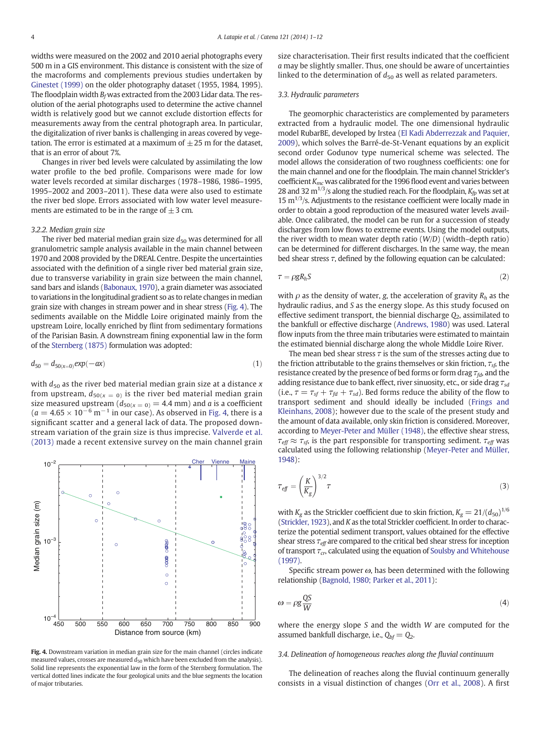<span id="page-3-0"></span>widths were measured on the 2002 and 2010 aerial photographs every 500 m in a GIS environment. This distance is consistent with the size of the macroforms and complements previous studies undertaken by [Ginestet \(1999\)](#page-11-0) on the older photography dataset (1955, 1984, 1995). The floodplain width  $B_f$  was extracted from the 2003 Lidar data. The resolution of the aerial photographs used to determine the active channel width is relatively good but we cannot exclude distortion effects for measurements away from the central photograph area. In particular, the digitalization of river banks is challenging in areas covered by vegetation. The error is estimated at a maximum of  $\pm 25$  m for the dataset, that is an error of about 7%.

Changes in river bed levels were calculated by assimilating the low water profile to the bed profile. Comparisons were made for low water levels recorded at similar discharges (1978–1986, 1986–1995, 1995–2002 and 2003–2011). These data were also used to estimate the river bed slope. Errors associated with low water level measurements are estimated to be in the range of  $\pm$  3 cm.

#### 3.2.2. Median grain size

The river bed material median grain size  $d_{50}$  was determined for all granulometric sample analysis available in the main channel between 1970 and 2008 provided by the DREAL Centre. Despite the uncertainties associated with the definition of a single river bed material grain size, due to transverse variability in grain size between the main channel, sand bars and islands ([Babonaux, 1970\)](#page-10-0), a grain diameter was associated to variations in the longitudinal gradient so as to relate changes in median grain size with changes in stream power and in shear stress (Fig. 4). The sediments available on the Middle Loire originated mainly from the upstream Loire, locally enriched by flint from sedimentary formations of the Parisian Basin. A downstream fining exponential law in the form of the [Sternberg \(1875\)](#page-11-0) formulation was adopted:

$$
d_{50} = d_{50(x=0)} exp(-ax)
$$
 (1)

with  $d_{50}$  as the river bed material median grain size at a distance x from upstream,  $d_{50(x = 0)}$  is the river bed material median grain size measured upstream  $(d_{50(x = 0)} = 4.4$  mm) and *a* is a coefficient  $(a = 4.65 \times 10^{-6} \text{ m}^{-1}$  in our case). As observed in Fig. 4, there is a significant scatter and a general lack of data. The proposed downstream variation of the grain size is thus imprecise. [Valverde et al.](#page-11-0) [\(2013\)](#page-11-0) made a recent extensive survey on the main channel grain



Fig. 4. Downstream variation in median grain size for the main channel (circles indicate measured values, crosses are measured  $d_{50}$  which have been excluded from the analysis). Solid line represents the exponential law in the form of the Sternberg formulation. The vertical dotted lines indicate the four geological units and the blue segments the location of major tributaries.

size characterisation. Their first results indicated that the coefficient a may be slightly smaller. Thus, one should be aware of uncertainties linked to the determination of  $d_{50}$  as well as related parameters.

# 3.3. Hydraulic parameters

The geomorphic characteristics are complemented by parameters extracted from a hydraulic model. The one dimensional hydraulic model RubarBE, developed by Irstea [\(El Kadi Abderrezzak and Paquier,](#page-11-0) [2009](#page-11-0)), which solves the Barré-de-St-Venant equations by an explicit second order Godunov type numerical scheme was selected. The model allows the consideration of two roughness coefficients: one for the main channel and one for the floodplain. The main channel Strickler's coefficient  $K_{mc}$  was calibrated for the 1996 flood event and varies between 28 and 32 m<sup>1/3</sup>/s along the studied reach. For the floodplain,  $K_{fp}$  was set at 15  $\mathrm{m}^{1/3}/\mathrm{s}$ . Adjustments to the resistance coefficient were locally made in order to obtain a good reproduction of the measured water levels available. Once calibrated, the model can be run for a succession of steady discharges from low flows to extreme events. Using the model outputs, the river width to mean water depth ratio (W/D) (width–depth ratio) can be determined for different discharges. In the same way, the mean bed shear stress  $\tau$ , defined by the following equation can be calculated:

$$
\tau = \rho g R_h S \tag{2}
$$

with  $\rho$  as the density of water, g, the acceleration of gravity  $R_h$  as the hydraulic radius, and S as the energy slope. As this study focused on effective sediment transport, the biennial discharge  $Q_2$ , assimilated to the bankfull or effective discharge ([Andrews, 1980](#page-10-0)) was used. Lateral flow inputs from the three main tributaries were estimated to maintain the estimated biennial discharge along the whole Middle Loire River.

The mean bed shear stress  $\tau$  is the sum of the stresses acting due to the friction attributable to the grains themselves or skin friction,  $\tau_{sf}$ , the resistance created by the presence of bed forms or form drag  $\tau_{fd}$ , and the adding resistance due to bank effect, river sinuosity, etc., or side drag  $\tau_{sd}$ (i.e.,  $\tau = \tau_{sf} + \tau_{fd} + \tau_{sd}$ ). Bed forms reduce the ability of the flow to transport sediment and should ideally be included ([Frings and](#page-11-0) [Kleinhans, 2008](#page-11-0)); however due to the scale of the present study and the amount of data available, only skin friction is considered. Moreover, according to [Meyer-Peter and Müller \(1948\),](#page-11-0) the effective shear stress,  $\tau_{\text{eff}} \approx \tau_{\text{sf}}$ , is the part responsible for transporting sediment.  $\tau_{\text{eff}}$  was calculated using the following relationship [\(Meyer-Peter and Müller,](#page-11-0) [1948\)](#page-11-0):

$$
\tau_{\text{eff}} = \left(\frac{K}{K_g}\right)^{3/2} \tau \tag{3}
$$

with  $K_g$  as the Strickler coefficient due to skin friction,  $K_g = 21/(d_{50})^{1/6}$ [\(Strickler, 1923](#page-11-0)), and K as the total Strickler coefficient. In order to characterize the potential sediment transport, values obtained for the effective shear stress  $\tau_{\text{eff}}$  are compared to the critical bed shear stress for inception of transport  $\tau_{cr}$ , calculated using the equation of [Soulsby and Whitehouse](#page-11-0) [\(1997\).](#page-11-0)

Specific stream power  $\omega$ , has been determined with the following relationship ([Bagnold, 1980; Parker et al., 2011](#page-10-0)):

$$
\omega = \rho g \frac{QS}{W} \tag{4}
$$

where the energy slope S and the width W are computed for the assumed bankfull discharge, i.e.,  $Q_{bf} = Q_2$ .

# 3.4. Delineation of homogeneous reaches along the fluvial continuum

The delineation of reaches along the fluvial continuum generally consists in a visual distinction of changes [\(Orr et al., 2008](#page-11-0)). A first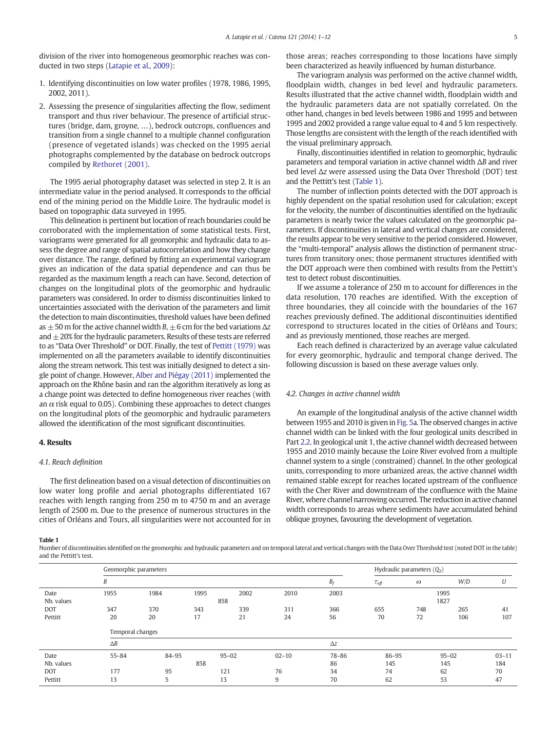division of the river into homogeneous geomorphic reaches was conducted in two steps [\(Latapie et al., 2009](#page-11-0)):

- 1. Identifying discontinuities on low water profiles (1978, 1986, 1995, 2002, 2011).
- 2. Assessing the presence of singularities affecting the flow, sediment transport and thus river behaviour. The presence of artificial structures (bridge, dam, groyne, …), bedrock outcrops, confluences and transition from a single channel to a multiple channel configuration (presence of vegetated islands) was checked on the 1995 aerial photographs complemented by the database on bedrock outcrops compiled by [Rethoret \(2001\).](#page-11-0)

The 1995 aerial photography dataset was selected in step 2. It is an intermediate value in the period analysed. It corresponds to the official end of the mining period on the Middle Loire. The hydraulic model is based on topographic data surveyed in 1995.

This delineation is pertinent but location of reach boundaries could be corroborated with the implementation of some statistical tests. First, variograms were generated for all geomorphic and hydraulic data to assess the degree and range of spatial autocorrelation and how they change over distance. The range, defined by fitting an experimental variogram gives an indication of the data spatial dependence and can thus be regarded as the maximum length a reach can have. Second, detection of changes on the longitudinal plots of the geomorphic and hydraulic parameters was considered. In order to dismiss discontinuities linked to uncertainties associated with the derivation of the parameters and limit the detection to main discontinuities, threshold values have been defined as  $\pm$  50 m for the active channel width B,  $\pm$  6 cm for the bed variations  $\Delta z$ and  $\pm$  20% for the hydraulic parameters. Results of these tests are referred to as "Data Over Threshold" or DOT. Finally, the test of [Pettitt \(1979\)](#page-11-0) was implemented on all the parameters available to identify discontinuities along the stream network. This test was initially designed to detect a single point of change. However, [Alber and Piégay \(2011\)](#page-10-0) implemented the approach on the Rhône basin and ran the algorithm iteratively as long as a change point was detected to define homogeneous river reaches (with an  $\alpha$  risk equal to 0.05). Combining these approaches to detect changes on the longitudinal plots of the geomorphic and hydraulic parameters allowed the identification of the most significant discontinuities.

#### 4. Results

### 4.1. Reach definition

The first delineation based on a visual detection of discontinuities on low water long profile and aerial photographs differentiated 167 reaches with length ranging from 250 m to 4750 m and an average length of 2500 m. Due to the presence of numerous structures in the cities of Orléans and Tours, all singularities were not accounted for in

Table 1

Number of discontinuities identified on the geomorphic and hydraulic parameters and on temporal lateral and vertical changes with the Data Over Threshold test (noted DOT in the table) and the Pettitt's test.

|            | Geomorphic parameters                |       |     |           |           |            |                     | Hydraulic parameters $(Q_2)$ |           |           |  |
|------------|--------------------------------------|-------|-----|-----------|-----------|------------|---------------------|------------------------------|-----------|-----------|--|
|            | B                                    |       |     |           |           | $B_f$      | $\tau_{\text{eff}}$ | $\omega$                     | W/D       | U         |  |
| Date       | 1955<br>1984<br>1995<br>2002<br>2010 |       |     |           |           | 2003       | 1995                |                              |           |           |  |
| Nb. values | 858                                  |       |     |           |           |            | 1827                |                              |           |           |  |
| <b>DOT</b> | 347                                  | 370   | 343 | 339       | 311       | 366        | 655                 | 748                          | 265       | 41        |  |
| Pettitt    | 20                                   | 20    | 17  | 21        | 24        | 56         | 70                  | 72                           | 106       | 107       |  |
|            | Temporal changes                     |       |     |           |           |            |                     |                              |           |           |  |
|            | $\Delta B$                           |       |     |           |           | $\Delta z$ |                     |                              |           |           |  |
| Date       | $55 - 84$                            | 84-95 |     | $95 - 02$ | $02 - 10$ | 78-86      | 86-95               |                              | $95 - 02$ | $03 - 11$ |  |
| Nb. values | 858                                  |       |     |           |           | 86         | 145                 |                              | 145       | 184       |  |
| <b>DOT</b> | 177                                  | 95    |     | 121       | 76        | 34         | 74                  |                              | 62        | 70        |  |
| Pettitt    | 13                                   | 5     |     | 13        | 9         | 70         | 62                  |                              | 53        | 47        |  |

those areas; reaches corresponding to those locations have simply been characterized as heavily influenced by human disturbance.

The variogram analysis was performed on the active channel width, floodplain width, changes in bed level and hydraulic parameters. Results illustrated that the active channel width, floodplain width and the hydraulic parameters data are not spatially correlated. On the other hand, changes in bed levels between 1986 and 1995 and between 1995 and 2002 provided a range value equal to 4 and 5 km respectively. Those lengths are consistent with the length of the reach identified with the visual preliminary approach.

Finally, discontinuities identified in relation to geomorphic, hydraulic parameters and temporal variation in active channel width ΔB and river bed level Δz were assessed using the Data Over Threshold (DOT) test and the Pettitt's test (Table 1).

The number of inflection points detected with the DOT approach is highly dependent on the spatial resolution used for calculation; except for the velocity, the number of discontinuities identified on the hydraulic parameters is nearly twice the values calculated on the geomorphic parameters. If discontinuities in lateral and vertical changes are considered, the results appear to be very sensitive to the period considered. However, the "multi-temporal" analysis allows the distinction of permanent structures from transitory ones; those permanent structures identified with the DOT approach were then combined with results from the Pettitt's test to detect robust discontinuities.

If we assume a tolerance of 250 m to account for differences in the data resolution, 170 reaches are identified. With the exception of three boundaries, they all coincide with the boundaries of the 167 reaches previously defined. The additional discontinuities identified correspond to structures located in the cities of Orléans and Tours; and as previously mentioned, those reaches are merged.

Each reach defined is characterized by an average value calculated for every geomorphic, hydraulic and temporal change derived. The following discussion is based on these average values only.

### 4.2. Changes in active channel width

An example of the longitudinal analysis of the active channel width between 1955 and 2010 is given in [Fig. 5](#page-5-0)a. The observed changes in active channel width can be linked with the four geological units described in Part [2.2.](#page-1-0) In geological unit 1, the active channel width decreased between 1955 and 2010 mainly because the Loire River evolved from a multiple channel system to a single (constrained) channel. In the other geological units, corresponding to more urbanized areas, the active channel width remained stable except for reaches located upstream of the confluence with the Cher River and downstream of the confluence with the Maine River, where channel narrowing occurred. The reduction in active channel width corresponds to areas where sediments have accumulated behind oblique groynes, favouring the development of vegetation.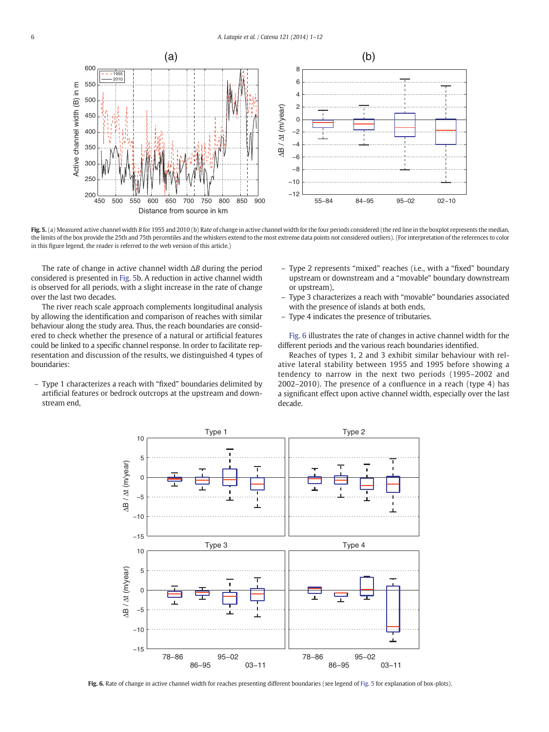<span id="page-5-0"></span>

Fig. 5. (a) Measured active channel width B for 1955 and 2010 (b) Rate of change in active channel width for the four periods considered (the red line in the boxplot represents the median, the limits of the box provide the 25th and 75th percentiles and the whiskers extend to the most extreme data points not considered outliers). (For interpretation of the references to color in this figure legend, the reader is referred to the web version of this article.)

The rate of change in active channel width ΔB during the period considered is presented in Fig. 5b. A reduction in active channel width is observed for all periods, with a slight increase in the rate of change over the last two decades.

The river reach scale approach complements longitudinal analysis by allowing the identification and comparison of reaches with similar behaviour along the study area. Thus, the reach boundaries are considered to check whether the presence of a natural or artificial features could be linked to a specific channel response. In order to facilitate representation and discussion of the results, we distinguished 4 types of boundaries:

– Type 1 characterizes a reach with "fixed" boundaries delimited by artificial features or bedrock outcrops at the upstream and downstream end,

- Type 2 represents "mixed" reaches (i.e., with a "fixed" boundary upstream or downstream and a "movable" boundary downstream or upstream),
- Type 3 characterizes a reach with "movable" boundaries associated with the presence of islands at both ends,
- Type 4 indicates the presence of tributaries.

Fig. 6 illustrates the rate of changes in active channel width for the different periods and the various reach boundaries identified.

Reaches of types 1, 2 and 3 exhibit similar behaviour with relative lateral stability between 1955 and 1995 before showing a tendency to narrow in the next two periods (1995–2002 and 2002–2010). The presence of a confluence in a reach (type 4) has a significant effect upon active channel width, especially over the last decade.



Fig. 6. Rate of change in active channel width for reaches presenting different boundaries (see legend of Fig. 5 for explanation of box-plots).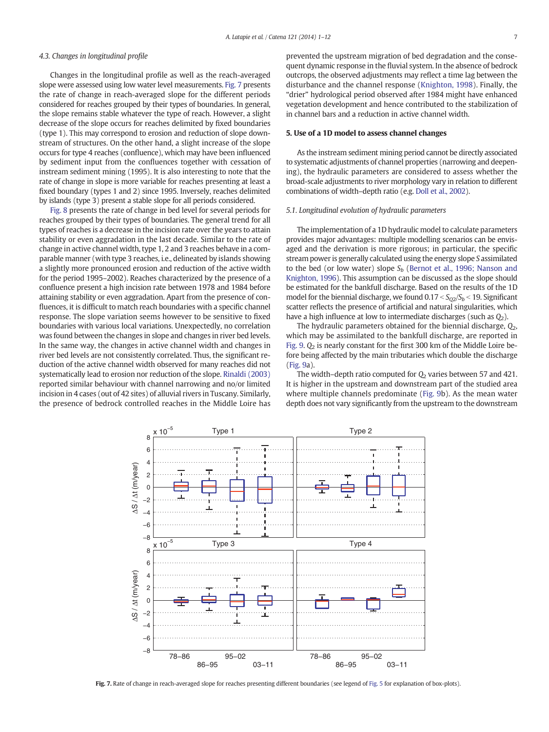# 4.3. Changes in longitudinal profile

Changes in the longitudinal profile as well as the reach-averaged slope were assessed using low water level measurements. Fig. 7 presents the rate of change in reach-averaged slope for the different periods considered for reaches grouped by their types of boundaries. In general, the slope remains stable whatever the type of reach. However, a slight decrease of the slope occurs for reaches delimited by fixed boundaries (type 1). This may correspond to erosion and reduction of slope downstream of structures. On the other hand, a slight increase of the slope occurs for type 4 reaches (confluence), which may have been influenced by sediment input from the confluences together with cessation of instream sediment mining (1995). It is also interesting to note that the rate of change in slope is more variable for reaches presenting at least a fixed boundary (types 1 and 2) since 1995. Inversely, reaches delimited by islands (type 3) present a stable slope for all periods considered.

[Fig. 8](#page-7-0) presents the rate of change in bed level for several periods for reaches grouped by their types of boundaries. The general trend for all types of reaches is a decrease in the incision rate over the years to attain stability or even aggradation in the last decade. Similar to the rate of change in active channel width, type 1, 2 and 3 reaches behave in a comparable manner (with type 3 reaches, i.e., delineated by islands showing a slightly more pronounced erosion and reduction of the active width for the period 1995–2002). Reaches characterized by the presence of a confluence present a high incision rate between 1978 and 1984 before attaining stability or even aggradation. Apart from the presence of confluences, it is difficult to match reach boundaries with a specific channel response. The slope variation seems however to be sensitive to fixed boundaries with various local variations. Unexpectedly, no correlation was found between the changes in slope and changes in river bed levels. In the same way, the changes in active channel width and changes in river bed levels are not consistently correlated. Thus, the significant reduction of the active channel width observed for many reaches did not systematically lead to erosion nor reduction of the slope. [Rinaldi \(2003\)](#page-11-0) reported similar behaviour with channel narrowing and no/or limited incision in 4 cases (out of 42 sites) of alluvial rivers in Tuscany. Similarly, the presence of bedrock controlled reaches in the Middle Loire has prevented the upstream migration of bed degradation and the consequent dynamic response in the fluvial system. In the absence of bedrock outcrops, the observed adjustments may reflect a time lag between the disturbance and the channel response ([Knighton, 1998](#page-11-0)). Finally, the "drier" hydrological period observed after 1984 might have enhanced vegetation development and hence contributed to the stabilization of in channel bars and a reduction in active channel width.

#### 5. Use of a 1D model to assess channel changes

As the instream sediment mining period cannot be directly associated to systematic adjustments of channel properties (narrowing and deepening), the hydraulic parameters are considered to assess whether the broad-scale adjustments to river morphology vary in relation to different combinations of width–depth ratio (e.g. [Doll et al., 2002](#page-11-0)).

#### 5.1. Longitudinal evolution of hydraulic parameters

The implementation of a 1D hydraulic model to calculate parameters provides major advantages: multiple modelling scenarios can be envisaged and the derivation is more rigorous; in particular, the specific stream power is generally calculated using the energy slope S assimilated to the bed (or low water) slope  $S_h$  [\(Bernot et al., 1996; Nanson and](#page-10-0) [Knighton, 1996\)](#page-10-0). This assumption can be discussed as the slope should be estimated for the bankfull discharge. Based on the results of the 1D model for the biennial discharge, we found  $0.17 < S_{O2}/S_b < 19$ . Significant scatter reflects the presence of artificial and natural singularities, which have a high influence at low to intermediate discharges (such as  $Q_2$ ).

The hydraulic parameters obtained for the biennial discharge,  $Q_2$ , which may be assimilated to the bankfull discharge, are reported in [Fig. 9](#page-7-0).  $Q_2$  is nearly constant for the first 300 km of the Middle Loire before being affected by the main tributaries which double the discharge [\(Fig. 9a](#page-7-0)).

The width–depth ratio computed for  $Q_2$  varies between 57 and 421. It is higher in the upstream and downstream part of the studied area where multiple channels predominate ([Fig. 9b](#page-7-0)). As the mean water depth does not vary significantly from the upstream to the downstream



Fig. 7. Rate of change in reach-averaged slope for reaches presenting different boundaries (see legend of [Fig. 5](#page-5-0) for explanation of box-plots).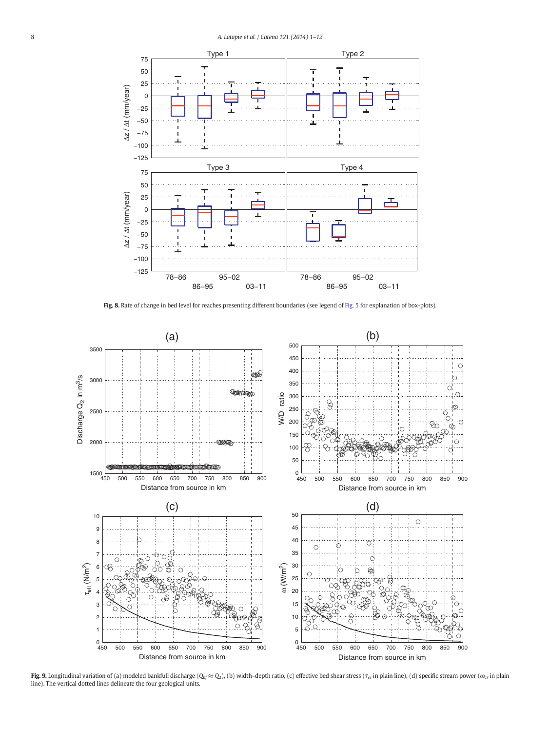<span id="page-7-0"></span>

Fig. 8. Rate of change in bed level for reaches presenting different boundaries (see legend of [Fig. 5](#page-5-0) for explanation of box-plots).



Fig. 9. Longitudinal variation of (a) modeled bankfull discharge ( $Q_{bf} \approx Q_{2}$ ), (b) width–depth ratio, (c) effective bed shear stress ( $\tau_{cr}$  in plain line), (d) specific stream power ( $\omega_{cr}$  in plain line). The vertical dotted lines delineate the four geological units.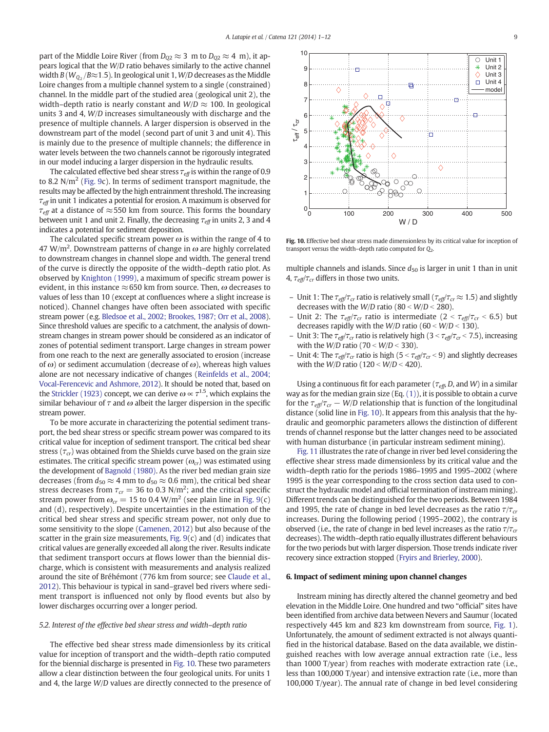<span id="page-8-0"></span>part of the Middle Loire River (from  $D_{Q2} \approx 3 \text{ m}$  to  $D_{Q2} \approx 4 \text{ m}$ ), it appears logical that the W/D ratio behaves similarly to the active channel width  $B\left(W_{\mathrm{Q}_2}/B{\approx}1.5\right)$ . In geological unit 1, W/D decreases as the Middle Loire changes from a multiple channel system to a single (constrained) channel. In the middle part of the studied area (geological unit 2), the width–depth ratio is nearly constant and  $W/D \approx 100$ . In geological units 3 and 4, W/D increases simultaneously with discharge and the presence of multiple channels. A larger dispersion is observed in the downstream part of the model (second part of unit 3 and unit 4). This is mainly due to the presence of multiple channels; the difference in water levels between the two channels cannot be rigorously integrated in our model inducing a larger dispersion in the hydraulic results.

The calculated effective bed shear stress  $\tau_{\text{eff}}$  is within the range of 0.9 to 8.2 N/ $m<sup>2</sup>$  [\(Fig. 9c](#page-7-0)). In terms of sediment transport magnitude, the results may be affected by the high entrainment threshold. The increasing  $\tau_{\text{eff}}$  in unit 1 indicates a potential for erosion. A maximum is observed for  $\tau_{\text{eff}}$  at a distance of  $\approx$  550 km from source. This forms the boundary between unit 1 and unit 2. Finally, the decreasing  $\tau_{\text{eff}}$  in units 2, 3 and 4 indicates a potential for sediment deposition.

The calculated specific stream power  $\omega$  is within the range of 4 to 47 W/m<sup>2</sup>. Downstream patterns of change in  $\omega$  are highly correlated to downstream changes in channel slope and width. The general trend of the curve is directly the opposite of the width–depth ratio plot. As observed by [Knighton \(1999\)](#page-11-0), a maximum of specific stream power is evident, in this instance  $\approx$  650 km from source. Then,  $\omega$  decreases to values of less than 10 (except at confluences where a slight increase is noticed). Channel changes have often been associated with specific stream power (e.g. [Bledsoe et al., 2002; Brookes, 1987; Orr et al., 2008](#page-10-0)). Since threshold values are specific to a catchment, the analysis of downstream changes in stream power should be considered as an indicator of zones of potential sediment transport. Large changes in stream power from one reach to the next are generally associated to erosion (increase of  $\omega$ ) or sediment accumulation (decrease of  $\omega$ ), whereas high values alone are not necessary indicative of changes ([Reinfelds et al., 2004;](#page-11-0) [Vocal-Ferencevic and Ashmore, 2012\)](#page-11-0). It should be noted that, based on the [Strickler \(1923\)](#page-11-0) concept, we can derive  $\omega \propto \tau^{1.5}$ , which explains the similar behaviour of  $\tau$  and  $\omega$  albeit the larger dispersion in the specific stream power.

To be more accurate in characterizing the potential sediment transport, the bed shear stress or specific stream power was compared to its critical value for inception of sediment transport. The critical bed shear stress ( $\tau_{cr}$ ) was obtained from the Shields curve based on the grain size estimates. The critical specific stream power  $(\omega_{cr})$  was estimated using the development of [Bagnold \(1980\)](#page-10-0). As the river bed median grain size decreases (from  $d_{50} \approx 4$  mm to  $d_{50} \approx 0.6$  mm), the critical bed shear stress decreases from  $\tau_{cr}$  = 36 to 0.3 N/m<sup>2</sup>; and the critical specific stream power from  $\omega_{cr} = 15$  to 0.4 W/m<sup>2</sup> (see plain line in [Fig. 9\(](#page-7-0)c) and (d), respectively). Despite uncertainties in the estimation of the critical bed shear stress and specific stream power, not only due to some sensitivity to the slope ([Camenen, 2012](#page-11-0)) but also because of the scatter in the grain size measurements, Fig.  $9(c)$  and (d) indicates that critical values are generally exceeded all along the river. Results indicate that sediment transport occurs at flows lower than the biennial discharge, which is consistent with measurements and analysis realized around the site of Bréhémont (776 km from source; see [Claude et al.,](#page-11-0) [2012\)](#page-11-0). This behaviour is typical in sand–gravel bed rivers where sediment transport is influenced not only by flood events but also by lower discharges occurring over a longer period.

### 5.2. Interest of the effective bed shear stress and width–depth ratio

The effective bed shear stress made dimensionless by its critical value for inception of transport and the width–depth ratio computed for the biennial discharge is presented in Fig. 10. These two parameters allow a clear distinction between the four geological units. For units 1 and 4, the large W/D values are directly connected to the presence of



Fig. 10. Effective bed shear stress made dimensionless by its critical value for inception of transport versus the width–depth ratio computed for  $Q_2$ .

multiple channels and islands. Since  $d_{50}$  is larger in unit 1 than in unit 4,  $\tau_{\text{eff}}/\tau_{\text{cr}}$  differs in those two units.

- Unit 1: The  $\tau_{\text{eff}}/\tau_{\text{cr}}$  ratio is relatively small ( $\tau_{\text{eff}}/\tau_{\text{cr}} \approx 1.5$ ) and slightly decreases with the  $W/D$  ratio (80 <  $W/D$  < 280).
- Unit 2: The  $\tau_{\text{eff}}/\tau_{\text{cr}}$  ratio is intermediate (2 <  $\tau_{\text{eff}}/\tau_{\text{cr}}$  < 6.5) but decreases rapidly with the  $W/D$  ratio (60 <  $W/D$  < 130).
- Unit 3: The  $\tau_{\text{eff}}/\tau_{\text{cr}}$  ratio is relatively high (3 <  $\tau_{\text{eff}}/\tau_{\text{cr}}$  < 7.5), increasing with the  $W/D$  ratio (70 <  $W/D$  < 330).
- Unit 4: The  $\tau_{\text{eff}}/\tau_{\text{cr}}$  ratio is high (5 <  $\tau_{\text{eff}}/\tau_{\text{cr}}$  < 9) and slightly decreases with the  $W/D$  ratio (120 <  $W/D < 420$ ).

Using a continuous fit for each parameter ( $\tau_{\text{eff}}$ , D, and W) in a similar way as for the median grain size (Eq.  $(1)$ ), it is possible to obtain a curve for the  $\tau_{\text{eff}}/\tau_{\text{cr}}$  – W/D relationship that is function of the longitudinal distance (solid line in Fig. 10). It appears from this analysis that the hydraulic and geomorphic parameters allows the distinction of different trends of channel response but the latter changes need to be associated with human disturbance (in particular instream sediment mining).

[Fig. 11](#page-9-0) illustrates the rate of change in river bed level considering the effective shear stress made dimensionless by its critical value and the width–depth ratio for the periods 1986–1995 and 1995–2002 (where 1995 is the year corresponding to the cross section data used to construct the hydraulic model and official termination of instream mining). Different trends can be distinguished for the two periods. Between 1984 and 1995, the rate of change in bed level decreases as the ratio  $\tau/\tau_{cr}$ increases. During the following period (1995–2002), the contrary is observed (i.e., the rate of change in bed level increases as the ratio  $\tau/\tau_{cr}$ decreases). The width–depth ratio equally illustrates different behaviours for the two periods but with larger dispersion. Those trends indicate river recovery since extraction stopped [\(Fryirs and Brierley, 2000](#page-11-0)).

#### 6. Impact of sediment mining upon channel changes

Instream mining has directly altered the channel geometry and bed elevation in the Middle Loire. One hundred and two "official" sites have been identified from archive data between Nevers and Saumur (located respectively 445 km and 823 km downstream from source, [Fig. 1](#page-1-0)). Unfortunately, the amount of sediment extracted is not always quantified in the historical database. Based on the data available, we distinguished reaches with low average annual extraction rate (i.e., less than 1000 T/year) from reaches with moderate extraction rate (i.e., less than 100,000 T/year) and intensive extraction rate (i.e., more than 100,000 T/year). The annual rate of change in bed level considering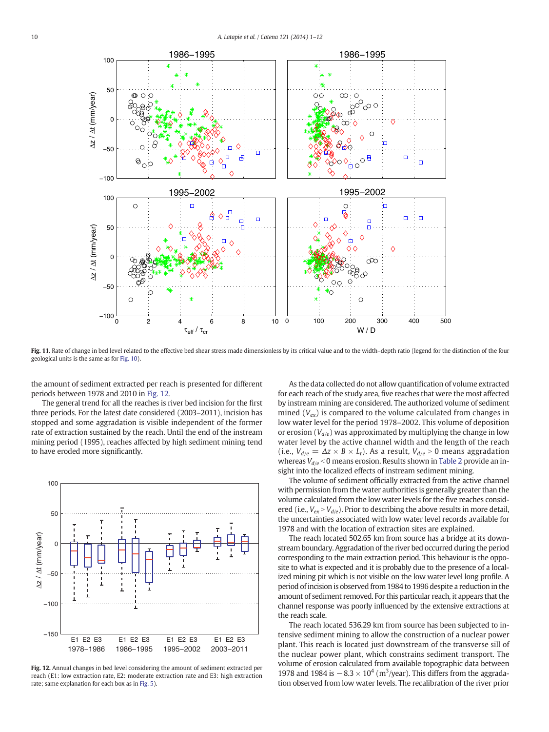<span id="page-9-0"></span>

Fig. 11. Rate of change in bed level related to the effective bed shear stress made dimensionless by its critical value and to the width-depth ratio (legend for the distinction of the four geological units is the same as for [Fig. 10\)](#page-8-0).

the amount of sediment extracted per reach is presented for different periods between 1978 and 2010 in Fig. 12.

The general trend for all the reaches is river bed incision for the first three periods. For the latest date considered (2003–2011), incision has stopped and some aggradation is visible independent of the former rate of extraction sustained by the reach. Until the end of the instream mining period (1995), reaches affected by high sediment mining tend to have eroded more significantly.



Fig. 12. Annual changes in bed level considering the amount of sediment extracted per reach (E1: low extraction rate, E2: moderate extraction rate and E3: high extraction rate; same explanation for each box as in [Fig. 5\)](#page-5-0).

As the data collected do not allow quantification of volume extracted for each reach of the study area, five reaches that were the most affected by instream mining are considered. The authorized volume of sediment mined  $(V_{ex})$  is compared to the volume calculated from changes in low water level for the period 1978–2002. This volume of deposition or erosion ( $V_{d/e}$ ) was approximated by multiplying the change in low water level by the active channel width and the length of the reach (i.e.,  $V_{d/e} = \Delta z \times B \times L_t$ ). As a result,  $V_{d/e} > 0$  means aggradation whereas  $V_{\frac{d}{e}} < 0$  means erosion. Results shown in [Table 2](#page-10-0) provide an insight into the localized effects of instream sediment mining.

The volume of sediment officially extracted from the active channel with permission from the water authorities is generally greater than the volume calculated from the low water levels for the five reaches considered (i.e.,  $V_{ex} > V_{d/e}$ ). Prior to describing the above results in more detail, the uncertainties associated with low water level records available for 1978 and with the location of extraction sites are explained.

The reach located 502.65 km from source has a bridge at its downstream boundary. Aggradation of the river bed occurred during the period corresponding to the main extraction period. This behaviour is the opposite to what is expected and it is probably due to the presence of a localized mining pit which is not visible on the low water level long profile. A period of incision is observed from 1984 to 1996 despite a reduction in the amount of sediment removed. For this particular reach, it appears that the channel response was poorly influenced by the extensive extractions at the reach scale.

The reach located 536.29 km from source has been subjected to intensive sediment mining to allow the construction of a nuclear power plant. This reach is located just downstream of the transverse sill of the nuclear power plant, which constrains sediment transport. The volume of erosion calculated from available topographic data between 1978 and 1984 is  $-8.3 \times 10^4$  (m<sup>3</sup>/year). This differs from the aggradation observed from low water levels. The recalibration of the river prior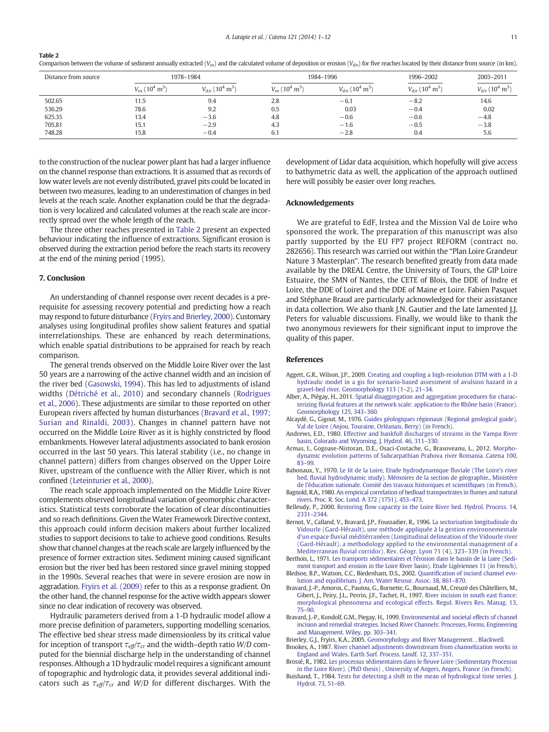<span id="page-10-0"></span>Comparison between the volume of sediment annually extracted (V<sub>ex</sub>) and the calculated volume of deposition or erosion (V<sub>d/e</sub>) for five reaches located by their distance from source (in km).

| Distance from source |                                            | 1978-1984                                   |                                                   | 1984-1996                                   | 1996-2002                                   | 2003-2011                                   |
|----------------------|--------------------------------------------|---------------------------------------------|---------------------------------------------------|---------------------------------------------|---------------------------------------------|---------------------------------------------|
|                      | $V_{ex}$ (10 <sup>4</sup> m <sup>3</sup> ) | $V_{d/e}$ (10 <sup>4</sup> m <sup>3</sup> ) | $V_{\text{ex}}$ (10 <sup>4</sup> m <sup>3</sup> ) | $V_{d/e}$ (10 <sup>4</sup> m <sup>3</sup> ) | $V_{d/e}$ (10 <sup>4</sup> m <sup>3</sup> ) | $V_{d/e}$ (10 <sup>4</sup> m <sup>3</sup> ) |
| 502.65               | 11.5                                       | 9.4                                         | 2.8                                               | $-6.1$                                      | $-8.2$                                      | 14.6                                        |
| 536.29               | 78.6                                       | 9.2                                         | 0.5                                               | 0.03                                        | $-0.4$                                      | 0.02                                        |
| 625.35               | 13.4                                       | $-3.6$                                      | 4.8                                               | $-0.6$                                      | $-0.6$                                      | $-4.8$                                      |
| 705.81               | 15.1                                       | $-2.9$                                      | 4.3                                               | $-1.6$                                      | $-0.5$                                      | $-3.8$                                      |
| 748.28               | 15.8                                       | $-0.4$                                      | -6.1                                              | $-2.8$                                      | 0.4                                         | 5.6                                         |

to the construction of the nuclear power plant has had a larger influence on the channel response than extractions. It is assumed that as records of low water levels are not evenly distributed, gravel pits could be located in between two measures, leading to an underestimation of changes in bed levels at the reach scale. Another explanation could be that the degradation is very localized and calculated volumes at the reach scale are incorrectly spread over the whole length of the reach.

The three other reaches presented in Table 2 present an expected behaviour indicating the influence of extractions. Significant erosion is observed during the extraction period before the reach starts its recovery at the end of the mining period (1995).

### 7. Conclusion

An understanding of channel response over recent decades is a prerequisite for assessing recovery potential and predicting how a reach may respond to future disturbance [\(Fryirs and Brierley, 2000](#page-11-0)). Customary analyses using longitudinal profiles show salient features and spatial interrelationships. These are enhanced by reach determinations, which enable spatial distributions to be appraised for reach by reach comparison.

The general trends observed on the Middle Loire River over the last 50 years are a narrowing of the active channel width and an incision of the river bed ([Gasowski, 1994\)](#page-11-0). This has led to adjustments of island widths ([Détriché et al., 2010](#page-11-0)) and secondary channels ([Rodrigues](#page-11-0) [et al., 2006\)](#page-11-0). These adjustments are similar to those reported on other European rivers affected by human disturbances (Bravard et al., 1997; Surian and Rinaldi, 2003). Changes in channel pattern have not occurred on the Middle Loire River as it is highly constricted by flood embankments. However lateral adjustments associated to bank erosion occurred in the last 50 years. This lateral stability (i.e., no change in channel pattern) differs from changes observed on the Upper Loire River, upstream of the confluence with the Allier River, which is not confined [\(Leteinturier et al., 2000](#page-11-0)).

The reach scale approach implemented on the Middle Loire River complements observed longitudinal variation of geomorphic characteristics. Statistical tests corroborate the location of clear discontinuities and so reach definitions. Given the Water Framework Directive context, this approach could inform decision makers about further localized studies to support decisions to take to achieve good conditions. Results show that channel changes at the reach scale are largely influenced by the presence of former extraction sites. Sediment mining caused significant erosion but the river bed has been restored since gravel mining stopped in the 1990s. Several reaches that were in severe erosion are now in aggradation. [Fryirs et al. \(2009\)](#page-11-0) refer to this as a response gradient. On the other hand, the channel response for the active width appears slower since no clear indication of recovery was observed.

Hydraulic parameters derived from a 1-D hydraulic model allow a more precise definition of parameters, supporting modelling scenarios. The effective bed shear stress made dimensionless by its critical value for inception of transport  $\tau_{\text{eff}}/\tau_{\text{cr}}$  and the width–depth ratio W/D computed for the biennial discharge help in the understanding of channel responses. Although a 1D hydraulic model requires a significant amount of topographic and hydrologic data, it provides several additional indicators such as  $\tau_{\text{eff}}/\tau_{\text{cr}}$  and W/D for different discharges. With the development of Lidar data acquisition, which hopefully will give access to bathymetric data as well, the application of the approach outlined here will possibly be easier over long reaches.

#### Acknowledgements

We are grateful to EdF, Irstea and the Mission Val de Loire who sponsored the work. The preparation of this manuscript was also partly supported by the EU FP7 project REFORM (contract no. 282656). This research was carried out within the "Plan Loire Grandeur Nature 3 Masterplan". The research benefited greatly from data made available by the DREAL Centre, the University of Tours, the GIP Loire Estuaire, the SMN of Nantes, the CETE of Blois, the DDE of Indre et Loire, the DDE of Loiret and the DDE of Maine et Loire. Fabien Pasquet and Stéphane Braud are particularly acknowledged for their assistance in data collection. We also thank J.N. Gautier and the late lamented J.J. Peters for valuable discussions. Finally, we would like to thank the two anonymous reviewers for their significant input to improve the quality of this paper.

#### References

- Aggett, G.R., Wilson, J.P., 2009. [Creating and coupling a high-resolution DTM with a 1-D](http://refhub.elsevier.com/S0341-8162(14)00123-4/rf0005) [hydraulic model in a gis for scenario-based assessment of avulsion hazard in a](http://refhub.elsevier.com/S0341-8162(14)00123-4/rf0005) [gravel-bed river. Geomorphology 113 \(1](http://refhub.elsevier.com/S0341-8162(14)00123-4/rf0005)–2), 21–34.
- Alber, A., Piégay, H., 2011. [Spatial disaggregation and aggregation procedures for charac](http://refhub.elsevier.com/S0341-8162(14)00123-4/rf0010)terizing fl[uvial features at the network scale: application to the Rhône basin \(France\).](http://refhub.elsevier.com/S0341-8162(14)00123-4/rf0010) [Geomorphology 125, 343](http://refhub.elsevier.com/S0341-8162(14)00123-4/rf0010)–360.
- Alcaydé, G., Gigout, M., 1976. [Guides géologiques régionaux \(Regional geological guide\).](http://refhub.elsevier.com/S0341-8162(14)00123-4/rf0280) [Val de Loire \(Anjou, Touraine, Orléanais, Berry\) \(in French\).](http://refhub.elsevier.com/S0341-8162(14)00123-4/rf0280)
- Andrews, E.D., 1980. [Effective and bankfull discharges of streams in the Yampa River](http://refhub.elsevier.com/S0341-8162(14)00123-4/rf0020) [basin, Colorado and Wyoming. J. Hydrol. 46, 311](http://refhub.elsevier.com/S0341-8162(14)00123-4/rf0020)–330.
- Armas, I., Gogoase-Nistoran, D.E., Osaci-Costache, G., Brasoveanu, L., 2012. [Morpho](http://refhub.elsevier.com/S0341-8162(14)00123-4/rf0025)[dynamic evolution patterns of Subcarpathian Prahova river Romania. Catena 100,](http://refhub.elsevier.com/S0341-8162(14)00123-4/rf0025) [83](http://refhub.elsevier.com/S0341-8162(14)00123-4/rf0025)–99.
- Babonaux, Y., 1970. [Le lit de la Loire, Etude hydrodynamique](http://refhub.elsevier.com/S0341-8162(14)00123-4/rf0285) fluviale (The Loire's river bed, fl[uvial hydrodynamic study\). Mémoires de la section de géographie., Ministère](http://refhub.elsevier.com/S0341-8162(14)00123-4/rf0285) [de l'éducation nationale. Comité des travaux historiques et scienti](http://refhub.elsevier.com/S0341-8162(14)00123-4/rf0285)fiques (in French). Bagnold, R.A., 1980. [An empirical correlation of bedload transportrates in](http://refhub.elsevier.com/S0341-8162(14)00123-4/rf0030) flumes and natural
- [rivers. Proc. R. Soc. Lond. A 372 \(1751\), 453](http://refhub.elsevier.com/S0341-8162(14)00123-4/rf0030)–473.
- Belleudy, P., 2000. Restoring fl[ow capacity in the Loire River bed. Hydrol. Process. 14,](http://refhub.elsevier.com/S0341-8162(14)00123-4/rf0035) [2331](http://refhub.elsevier.com/S0341-8162(14)00123-4/rf0035)–2344.
- Bernot, V., Calland, V., Bravard, J.P., Foussadier, R., 1996. [La sectorisation longitudinale du](http://refhub.elsevier.com/S0341-8162(14)00123-4/rf0040) [Vidourle \(Gard-Hérault\), une méthode appliquée à la gestion environnementale](http://refhub.elsevier.com/S0341-8162(14)00123-4/rf0040) d'un espace fl[uvial méditérranéen \(Longitudinal delineation of the Vidourle river](http://refhub.elsevier.com/S0341-8162(14)00123-4/rf0040) [\(Gard-Hérault\), a methodology applied to the environmental management of a](http://refhub.elsevier.com/S0341-8162(14)00123-4/rf0040) Mediterranean fl[uvial corridor\). Rev. Géogr. Lyon 71 \(4\), 323](http://refhub.elsevier.com/S0341-8162(14)00123-4/rf0040)–339 (in French).
- Berthois, L., 1971. [Les transports sédimentaires et l'érosion dans le bassin de la Loire \(Sedi](http://refhub.elsevier.com/S0341-8162(14)00123-4/rf0045)[ment transport and erosion in the Loire River basin\). Etude Ligériennes 11 \(in French\)](http://refhub.elsevier.com/S0341-8162(14)00123-4/rf0045).
- Bledsoe, B.P., Watson, C.C., Biedenham, D.S., 2002. Quantifi[cation of incised channel evo](http://refhub.elsevier.com/S0341-8162(14)00123-4/rf0050)[lution and equilibrium. J. Am. Water Resour. Assoc. 38, 861](http://refhub.elsevier.com/S0341-8162(14)00123-4/rf0050)–870.
- Bravard, J.-P., Amoros, C., Pautou, G., Bornette, G., Bournaud, M., Creuzé des Châtelliers, M., Gibert, J., Peiry, J.L., Perrin, J.F., Tachet, H., 1997. [River incision in south east france:](http://refhub.elsevier.com/S0341-8162(14)00123-4/rf0055) [morphological phenomena and ecological effects. Regul. Rivers Res. Manag. 13,](http://refhub.elsevier.com/S0341-8162(14)00123-4/rf0055) [75](http://refhub.elsevier.com/S0341-8162(14)00123-4/rf0055)–90.
- Bravard, J.-P., Kondolf, G.M., Piegay, H., 1999. [Environmental and societal effects of channel](http://refhub.elsevier.com/S0341-8162(14)00123-4/rf0290) [incision and remedial strategies. Incised River Channels: Processes, Forms, Engineering](http://refhub.elsevier.com/S0341-8162(14)00123-4/rf0290) [and Management. Wiley, pp. 303](http://refhub.elsevier.com/S0341-8162(14)00123-4/rf0290)–341.
- Brierley, G.J., Fryirs, K.A., 2005. [Geomorphology and River Management. , Blackwell](http://refhub.elsevier.com/S0341-8162(14)00123-4/rf0060). Brookes, A., 1987. [River channel adjustments downstream from channelization works in](http://refhub.elsevier.com/S0341-8162(14)00123-4/rf0065)
- [England and Wales. Earth Surf. Process. Landf. 12, 337](http://refhub.elsevier.com/S0341-8162(14)00123-4/rf0065)–351. Brossé, R., 1982. [Les processus sédimentaires dans le](http://refhub.elsevier.com/S0341-8162(14)00123-4/rf0295) fleuve Loire (Sedimentary Processus
- [in the Loire River\). \(PhD thesis\) , University of Angers, Angers, France \(in French\).](http://refhub.elsevier.com/S0341-8162(14)00123-4/rf0295) Buishand, T., 1984. [Tests for detecting a shift in the mean of hydrological time series. J.](http://refhub.elsevier.com/S0341-8162(14)00123-4/rf0070) [Hydrol. 73, 51](http://refhub.elsevier.com/S0341-8162(14)00123-4/rf0070)–69.